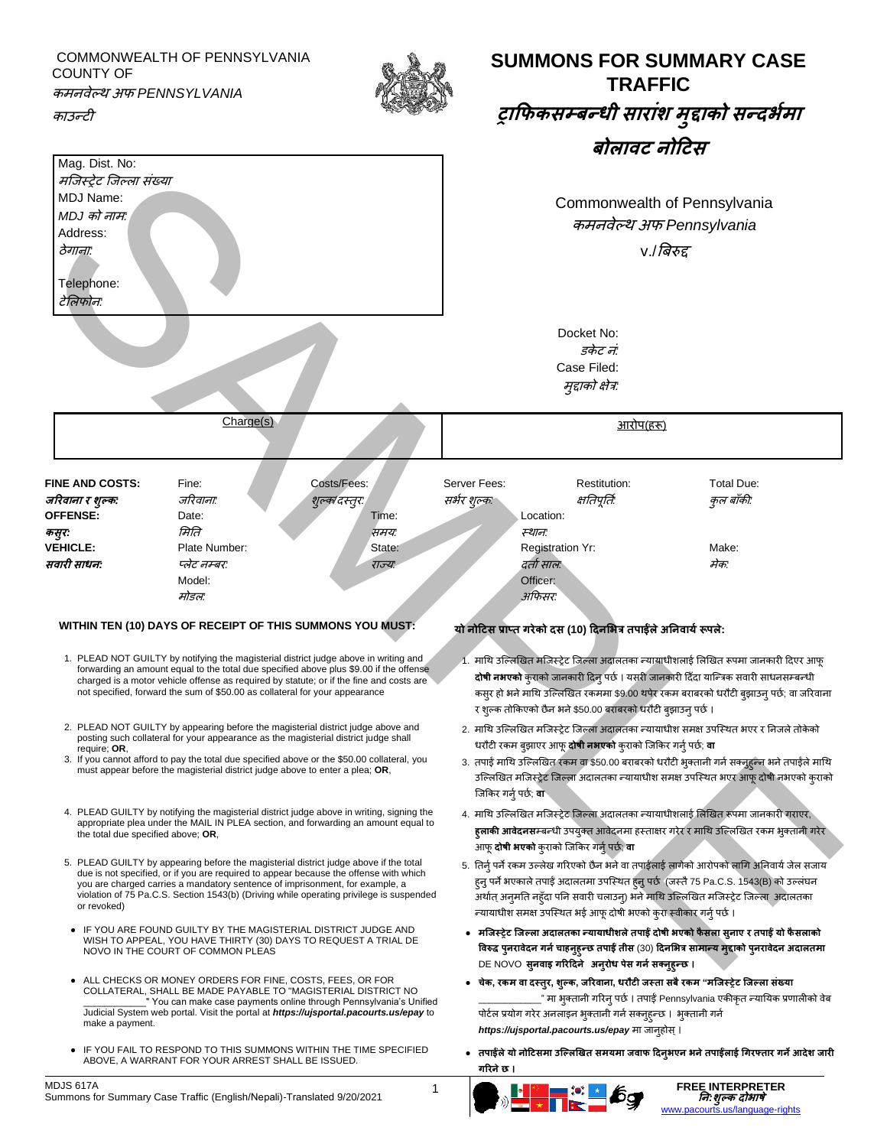COMMONWEALTH OF PENNSYLVANIA COUNTY OF कमनवेल्थ अफ *PENNSYLVANIA*

काउन्टी

Mag. Dist. No: मल्जस्रेट ल्जल्ला संख्या

MDJ Name: *MDJ* को नाम*:* Address: ठेगाना*:*

Telephone:

टेमलफोन*:*



# **SUMMONS FOR SUMMARY CASE TRAFFIC ट्राफिकसम्बन्धी साराांश <sup>म</sup> ुद्दाको सन्दभभमा बोलावट िोटटस**

Commonwealth of Pennsylvania कमनवेल्थ अफ *Pennsylvania* v./बिरुद्द Docket No: *डकेट नं:* Case Filed: मुद्दाको क्षेत्र*:*

Charge(s) आरोप(हरू) **FINE AND COSTS:** Fine: Costs/Fees: Server Fees: Restitution: Total Due: **जररवािा <sup>र</sup> शुल्क***:* जररवाना*:* शुल्क*/*दस्तुर*:* सर्भर शुल्क*:* क्षततपूततभ*:* कुल िााँकी*:* **OFFENSE:** Date: Date: Date: Time: Location: **कसुर***:* ममतत समय*:* स्थान*:* **VEHICLE:** Plate Number: State: Registration Yr: Make: Make: **सवारी साधि***:* प्लेट नम्िर*:* राज्य*:* दताभसाल*:* मेक*:* Model: Officer: मोडल*:* अफफसर*:* STRIP (SOM THE SAMPLE TRANSPORTATION CONTINUES)<br>
SAMPLE TRANSPORTER AND THE SAMPLE TRANSPORTER CONTINUES IN THE SAMPLE TRANSPORTER CONTINUES IN THE SAMPLE TRANSPORTER CONTINUES IN THE SAMPLE TRANSPORTER AND INTERNATIONAL

## **WITHIN TEN (10) DAYS OF RECEIPT OF THIS SUMMONS YOU MUST: यो िोटटस प्राप्त गरेको दस (10) टदिभभत्र तपाईंलेअनिवायभरूपले:**

- 1. PLEAD NOT GUILTY by notifying the magisterial district judge above in writing and forwarding an amount equal to the total due specified above plus \$9.00 if the offense charged is a motor vehicle offense as required by statute; or if the fine and costs are not specified, forward the sum of \$50.00 as collateral for your appearance
- 2. PLEAD NOT GUILTY by appearing before the magisterial district judge above and posting such collateral for your appearance as the magisterial district judge shall require; **OR**,
- 3. If you cannot afford to pay the total due specified above or the \$50.00 collateral, you must appear before the magisterial district judge above to enter a plea; **OR**,
- 4. PLEAD GUILTY by notifying the magisterial district judge above in writing, signing the appropriate plea under the MAIL IN PLEA section, and forwarding an amount equal to the total due specified above; **OR**,
- 5. PLEAD GUILTY by appearing before the magisterial district judge above if the total due is not specified, or if you are required to appear because the offense with which you are charged carries a mandatory sentence of imprisonment, for example, a violation of 75 Pa.C.S. Section 1543(b) (Driving while operating privilege is suspended or revoked)
- IF YOU ARE FOUND GUILTY BY THE MAGISTERIAL DISTRICT JUDGE AND WISH TO APPEAL, YOU HAVE THIRTY (30) DAYS TO REQUEST A TRIAL DE NOVO IN THE COURT OF COMMON PLEAS
- ALL CHECKS OR MONEY ORDERS FOR FINE, COSTS, FEES, OR FOR COLLATERAL, SHALL BE MADE PAYABLE TO "MAGISTERIAL DISTRICT NO \_\_\_\_\_\_\_\_\_\_\_\_" You can make case payments online through Pennsylvania's Unified Judicial System web portal. Visit the portal at *https://ujsportal.pacourts.us/epay* to make a payment.
- IF YOU FAIL TO RESPOND TO THIS SUMMONS WITHIN THE TIME SPECIFIED ABOVE, A WARRANT FOR YOUR ARREST SHALL BE ISSUED.

- 1. माथि उल्लिखित मजिस्ट्रेट जिल्ला अदालतका न्यायाधीशलाई लिखित रूपमा जानकारी दिएर आफू **दोषी नभएको** कुराको जानकारी दिन् पर्छ । यसरी जानकारी दिँदा यान्त्रिक सवारी साधनसम्बन्धी कसुर हो भने माथि उल्लिखित रकममा \$9.00 थपेर रकम बराबरको धरौटी ब्झाउन् पर्छ; वा जरिवाना र शुल्क तोकिएको छैन भने \$50.00 बराबरको धरौटी बुझाउन् पर्छ ।
- 2. माथि उल्लिखित मजिस्ट्रेट जिल्ला अदालतका न्यायाधीश समक्ष उपस्थित भएर र निजले तोकेको धरौटी रकम िुझाएर आफू**दोषी िभएको** कुराको ल्जफकर गनुभपर्भ; **वा**
- 3. तपाईं माथि उल्लिखित रकम वा \$50.00 बराबरको धरौटी भुक्तानी गर्न सक्नुहुन्न भने तपाईंले माथि उल्ल्लखित मल्जस्रेट ल्जल्ला अदालतका न्यायाधीश समक्ष उपल्स्थत र्एर आफूदोषी नर्एको कुराको ल्जफकर गनुभपर्भ; **वा**
- 4. माथि उल्लिखित मजिस्ट्रेट जिल्ला अदालतका न्यायाधीशलाई लिखित रूपमा जानकारी गराएर, **हुलाकी आवेदनस**म्बन्धी उपयुक्त आवेदनमा हस्ताक्षर गरेर र माथि उल्लिखित रकम भ्**क्तानी गरे**र आफू**दोषी भएको** कुराको ल्जफकर गनुभपर्भ; **वा**
- 5. तिर्नु पर्ने रकम उल्लेख गरिएको छैन भने वा तपाईंलाई लागेको आरोपको लागि अनिवार्य जेल सजाय हुनु पर्ने भएकाले तपाईं अदालतमा उपस्थित हुनु पर्छ (जस्तै 75 Pa.C.S. 1543(B) को उल्लंघन अर्थात् अनुमति नहुँदा पनि सवारी चलाउन्) भने माथि उल्लिखित मजिस्ट्रेट जिल्ला अदालतका न्यायाधीश समक्ष उपस्थित भई आफू दोषी भएको कुरा स्वीकार गर्नु पर्छ ।
- **मजजस्ट्ट्रेट जजल्ला अदालतका न्यायाधीशलेतपाईं दोषी भएको िै सला सुिाए र तपाईं यो िै सलाको ववरुद्ध पुिरावेदि गिभचाहिुहुन्छ तपाईं तीस** (30) **टदिभभत्र सामान्य मुद्दाको पुिरावेदि अदालतमा** DE NOVO **सुिवाइ गररटदिे अिुरोध पेस गिभसक्िुहुन्छ ।**
- **चेक, रकम वा दस्ट्तुर, शुल्क, जररवािा, धरौटी जस्ट्ता सबैरकम "मजजस्ट्ट्रेट जजल्ला सांख्या** " मा भक्तानी गरिन पर्छ । तपाईं Pennsylvania एकीकत न्यायिक प्रणालीको वेब पोर्टल प्रयोग गरेर अनलाइन भुक्तानी गर्न सक्नुहुन्छ । भुक्तानी गर्न *https://ujsportal.pacourts.us/epay* मा जानुहोस्।
- **तपाईंलेयो िोटटसमा उजल्लखित समयमा जवाि टदिुभएि भिेतपाईंलाई गगरफ्तार गिेआदेश जारी गररिेछ ।**